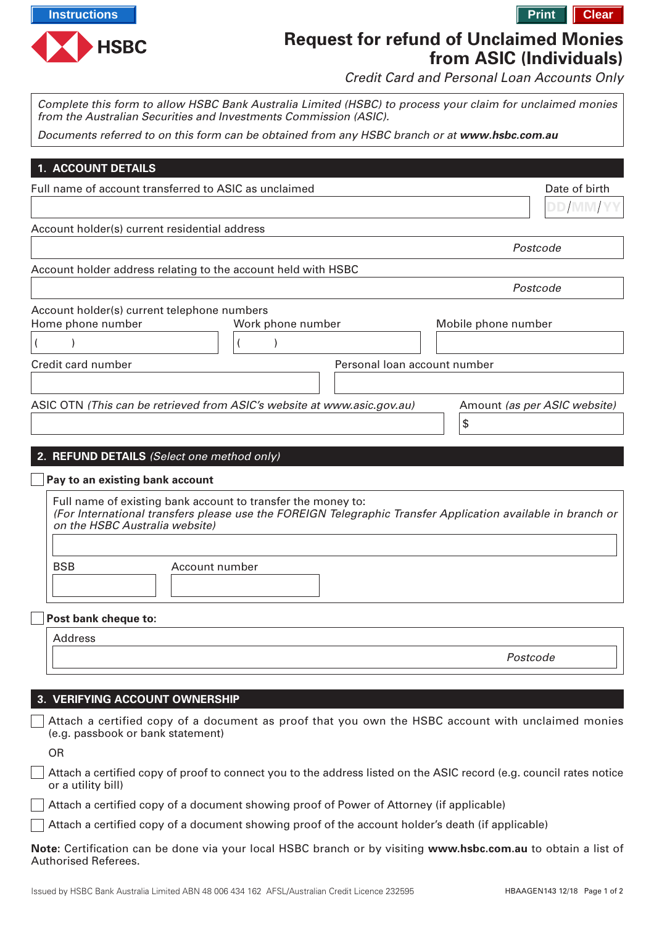

# **Request for refund of Unclaimed Monies from ASIC (Individuals)**

*Credit Card and Personal Loan Accounts Only*

| from the Australian Securities and Investments Commission (ASIC).       | Complete this form to allow HSBC Bank Australia Limited (HSBC) to process your claim for unclaimed monies           |                     |                              |
|-------------------------------------------------------------------------|---------------------------------------------------------------------------------------------------------------------|---------------------|------------------------------|
|                                                                         | Documents referred to on this form can be obtained from any HSBC branch or at www.hsbc.com.au                       |                     |                              |
| 1. ACCOUNT DETAILS                                                      |                                                                                                                     |                     |                              |
| Full name of account transferred to ASIC as unclaimed                   |                                                                                                                     |                     | Date of birth                |
|                                                                         |                                                                                                                     |                     | DD/MM                        |
| Account holder(s) current residential address                           |                                                                                                                     |                     |                              |
|                                                                         |                                                                                                                     |                     | Postcode                     |
| Account holder address relating to the account held with HSBC           |                                                                                                                     |                     |                              |
|                                                                         |                                                                                                                     |                     | Postcode                     |
| Account holder(s) current telephone numbers<br>Home phone number        | Work phone number                                                                                                   | Mobile phone number |                              |
|                                                                         |                                                                                                                     |                     |                              |
| Credit card number<br>Personal loan account number                      |                                                                                                                     |                     |                              |
|                                                                         |                                                                                                                     |                     |                              |
| ASIC OTN (This can be retrieved from ASIC's website at www.asic.gov.au) |                                                                                                                     |                     | Amount (as per ASIC website) |
|                                                                         |                                                                                                                     | \$                  |                              |
| 2. REFUND DETAILS (Select one method only)                              |                                                                                                                     |                     |                              |
| Pay to an existing bank account                                         |                                                                                                                     |                     |                              |
| Full name of existing bank account to transfer the money to:            |                                                                                                                     |                     |                              |
| on the HSBC Australia website)                                          | (For International transfers please use the FOREIGN Telegraphic Transfer Application available in branch or         |                     |                              |
|                                                                         |                                                                                                                     |                     |                              |
| <b>BSB</b><br>Account number                                            |                                                                                                                     |                     |                              |
|                                                                         |                                                                                                                     |                     |                              |
|                                                                         |                                                                                                                     |                     |                              |
| Post bank cheque to:                                                    |                                                                                                                     |                     |                              |
| Address                                                                 |                                                                                                                     |                     |                              |
|                                                                         |                                                                                                                     | Postcode            |                              |
|                                                                         |                                                                                                                     |                     |                              |
| 3. VERIFYING ACCOUNT OWNERSHIP                                          |                                                                                                                     |                     |                              |
| (e.g. passbook or bank statement)                                       | Attach a certified copy of a document as proof that you own the HSBC account with unclaimed monies                  |                     |                              |
| <b>OR</b>                                                               |                                                                                                                     |                     |                              |
| or a utility bill)                                                      | Attach a certified copy of proof to connect you to the address listed on the ASIC record (e.g. council rates notice |                     |                              |
|                                                                         | Attach a certified copy of a document showing proof of Power of Attorney (if applicable)                            |                     |                              |
|                                                                         | Attach a certified copy of a document showing proof of the account holder's death (if applicable)                   |                     |                              |
| <b>Authorised Referees.</b>                                             | Note: Certification can be done via your local HSBC branch or by visiting www.hsbc.com.au to obtain a list of       |                     |                              |